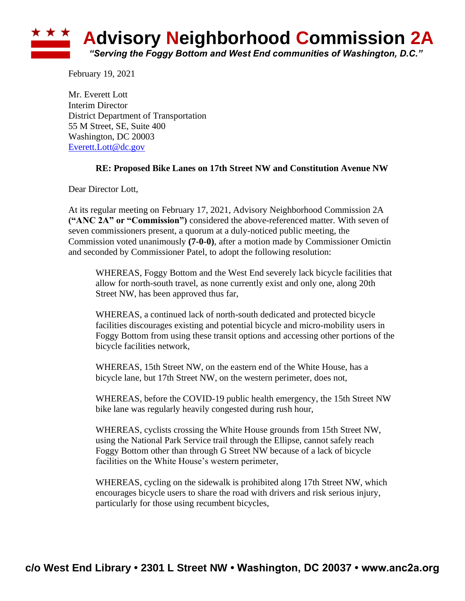

February 19, 2021

Mr. Everett Lott Interim Director District Department of Transportation 55 M Street, SE, Suite 400 Washington, DC 20003 [Everett.Lott@dc.gov](mailto:Everett.Lott@dc.gov)

## **RE: Proposed Bike Lanes on 17th Street NW and Constitution Avenue NW**

Dear Director Lott,

At its regular meeting on February 17, 2021, Advisory Neighborhood Commission 2A **("ANC 2A" or "Commission")** considered the above-referenced matter. With seven of seven commissioners present, a quorum at a duly-noticed public meeting, the Commission voted unanimously **(7-0-0)**, after a motion made by Commissioner Omictin and seconded by Commissioner Patel, to adopt the following resolution:

WHEREAS, Foggy Bottom and the West End severely lack bicycle facilities that allow for north-south travel, as none currently exist and only one, along 20th Street NW, has been approved thus far,

WHEREAS, a continued lack of north-south dedicated and protected bicycle facilities discourages existing and potential bicycle and micro-mobility users in Foggy Bottom from using these transit options and accessing other portions of the bicycle facilities network,

WHEREAS, 15th Street NW, on the eastern end of the White House, has a bicycle lane, but 17th Street NW, on the western perimeter, does not,

WHEREAS, before the COVID-19 public health emergency, the 15th Street NW bike lane was regularly heavily congested during rush hour,

WHEREAS, cyclists crossing the White House grounds from 15th Street NW, using the National Park Service trail through the Ellipse, cannot safely reach Foggy Bottom other than through G Street NW because of a lack of bicycle facilities on the White House's western perimeter,

WHEREAS, cycling on the sidewalk is prohibited along 17th Street NW, which encourages bicycle users to share the road with drivers and risk serious injury, particularly for those using recumbent bicycles,